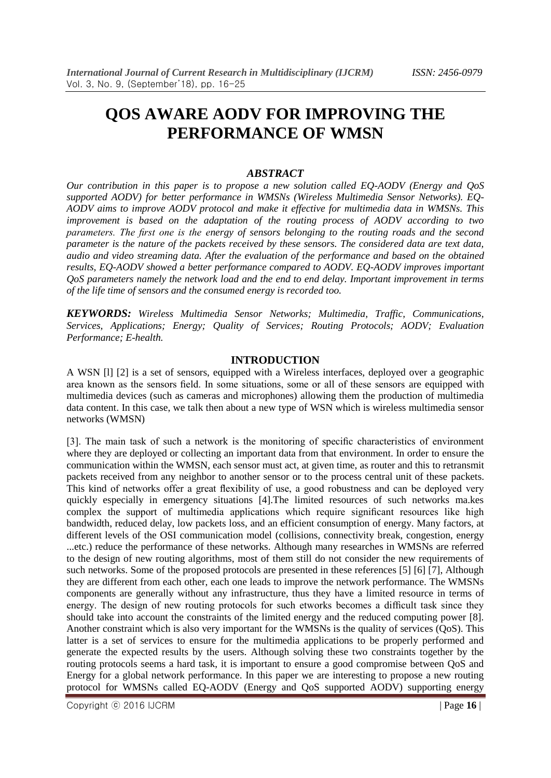# **QOS AWARE AODV FOR IMPROVING THE PERFORMANCE OF WMSN**

### *ABSTRACT*

*Our contribution in this paper is to propose a new solution called EQ-AODV (Energy and QoS supported AODV) for better performance in WMSNs (Wireless Multimedia Sensor Networks). EQ-AODV aims to improve AODV protocol and make it effective for multimedia data in WMSNs. This improvement is based on the adaptation of the routing process of AODV according to two parameters. The first one is the energy of sensors belonging to the routing roads and the second parameter is the nature of the packets received by these sensors. The considered data are text data, audio and video streaming data. After the evaluation of the performance and based on the obtained results, EQ-AODV showed a better performance compared to AODV. EQ-AODV improves important QoS parameters namely the network load and the end to end delay. Important improvement in terms of the life time of sensors and the consumed energy is recorded too.*

*KEYWORDS: Wireless Multimedia Sensor Networks; Multimedia, Traffic, Communications, Services, Applications; Energy; Quality of Services; Routing Protocols; AODV; Evaluation Performance; E-health.*

## **INTRODUCTION**

A WSN [l] [2] is a set of sensors, equipped with a Wireless interfaces, deployed over a geographic area known as the sensors field. In some situations, some or all of these sensors are equipped with multimedia devices (such as cameras and microphones) allowing them the production of multimedia data content. In this case, we talk then about a new type of WSN which is wireless multimedia sensor networks (WMSN)

[3]. The main task of such a network is the monitoring of specific characteristics of environment where they are deployed or collecting an important data from that environment. In order to ensure the communication within the WMSN, each sensor must act, at given time, as router and this to retransmit packets received from any neighbor to another sensor or to the process central unit of these packets. This kind of networks offer a great flexibility of use, a good robustness and can be deployed very quickly especially in emergency situations [4].The limited resources of such networks ma.kes complex the support of multimedia applications which require significant resources like high bandwidth, reduced delay, low packets loss, and an efficient consumption of energy. Many factors, at different levels of the OSI communication model (collisions, connectivity break, congestion, energy ...etc.) reduce the performance of these networks. Although many researches in WMSNs are referred to the design of new routing algorithms, most of them still do not consider the new requirements of such networks. Some of the proposed protocols are presented in these references [5] [6] [7], Although they are different from each other, each one leads to improve the network performance. The WMSNs components are generally without any infrastructure, thus they have a limited resource in terms of energy. The design of new routing protocols for such etworks becomes a difficult task since they should take into account the constraints of the limited energy and the reduced computing power [8]. Another constraint which is also very important for the WMSNs is the quality of services (QoS). This latter is a set of services to ensure for the multimedia applications to be properly performed and generate the expected results by the users. Although solving these two constraints together by the routing protocols seems a hard task, it is important to ensure a good compromise between QoS and Energy for a global network performance. In this paper we are interesting to propose a new routing protocol for WMSNs called EQ-AODV (Energy and QoS supported AODV) supporting energy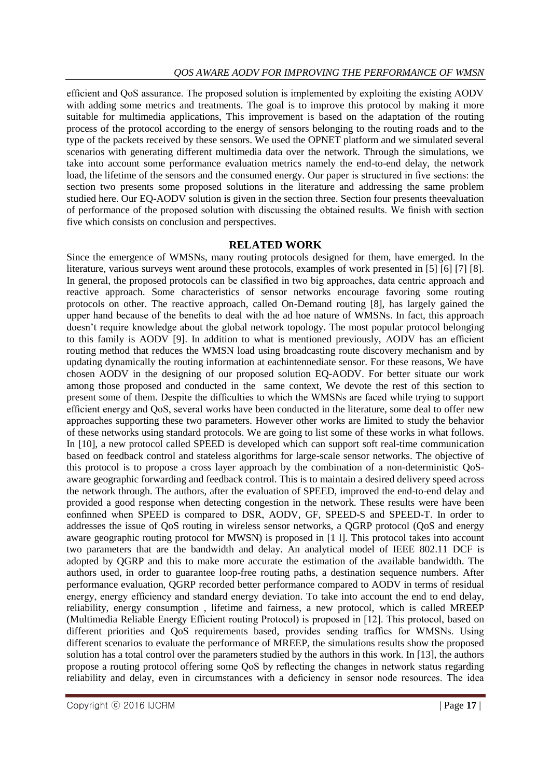efficient and QoS assurance. The proposed solution is implemented by exploiting the existing AODV with adding some metrics and treatments. The goal is to improve this protocol by making it more suitable for multimedia applications, This improvement is based on the adaptation of the routing process of the protocol according to the energy of sensors belonging to the routing roads and to the type of the packets received by these sensors. We used the OPNET platform and we simulated several scenarios with generating different multimedia data over the network. Through the simulations, we take into account some performance evaluation metrics namely the end-to-end delay, the network load, the lifetime of the sensors and the consumed energy. Our paper is structured in five sections: the section two presents some proposed solutions in the literature and addressing the same problem studied here. Our EQ-AODV solution is given in the section three. Section four presents theevaluation of performance of the proposed solution with discussing the obtained results. We finish with section five which consists on conclusion and perspectives.

## **RELATED WORK**

Since the emergence of WMSNs, many routing protocols designed for them, have emerged. In the literature, various surveys went around these protocols, examples of work presented in [5] [6] [7] [8]. In general, the proposed protocols can be classified in two big approaches, data centric approach and reactive approach. Some characteristics of sensor networks encourage favoring some routing protocols on other. The reactive approach, called On-Demand routing [8], has largely gained the upper hand because of the benefits to deal with the ad hoe nature of WMSNs. In fact, this approach doesn"t require knowledge about the global network topology. The most popular protocol belonging to this family is AODV [9]. In addition to what is mentioned previously, AODV has an efficient routing method that reduces the WMSN load using broadcasting route discovery mechanism and by updating dynamically the routing information at eachintennediate sensor. For these reasons, We have chosen AODV in the designing of our proposed solution EQ-AODV. For better situate our work among those proposed and conducted in the same context, We devote the rest of this section to present some of them. Despite the difficulties to which the WMSNs are faced while trying to support efficient energy and QoS, several works have been conducted in the literature, some deal to offer new approaches supporting these two parameters. However other works are limited to study the behavior of these networks using standard protocols. We are going to list some of these works in what follows. In [10], a new protocol called SPEED is developed which can support soft real-time communication based on feedback control and stateless algorithms for large-scale sensor networks. The objective of this protocol is to propose a cross layer approach by the combination of a non-deterministic QoSaware geographic forwarding and feedback control. This is to maintain a desired delivery speed across the network through. The authors, after the evaluation of SPEED, improved the end-to-end delay and provided a good response when detecting congestion in the network. These results were have been eonfinned when SPEED is compared to DSR, AODV, GF, SPEED-S and SPEED-T. In order to addresses the issue of QoS routing in wireless sensor networks, a QGRP protocol (QoS and energy aware geographic routing protocol for MWSN) is proposed in [1 l]. This protocol takes into account two parameters that are the bandwidth and delay. An analytical model of IEEE 802.11 DCF is adopted by QGRP and this to make more accurate the estimation of the available bandwidth. The authors used, in order to guarantee loop-free routing paths, a destination sequence numbers. After performance evaluation, QGRP recorded better performance compared to AODV in terms of residual energy, energy efficiency and standard energy deviation. To take into account the end to end delay, reliability, energy consumption , lifetime and fairness, a new protocol, which is called MREEP (Multimedia Reliable Energy Efficient routing Protocol) is proposed in [12]. This protocol, based on different priorities and QoS requirements based, provides sending traffics for WMSNs. Using different scenarios to evaluate the performance of MREEP, the simulations results show the proposed solution has a total control over the parameters studied by the authors in this work. In [13], the authors propose a routing protocol offering some QoS by reflecting the changes in network status regarding reliability and delay, even in circumstances with a deficiency in sensor node resources. The idea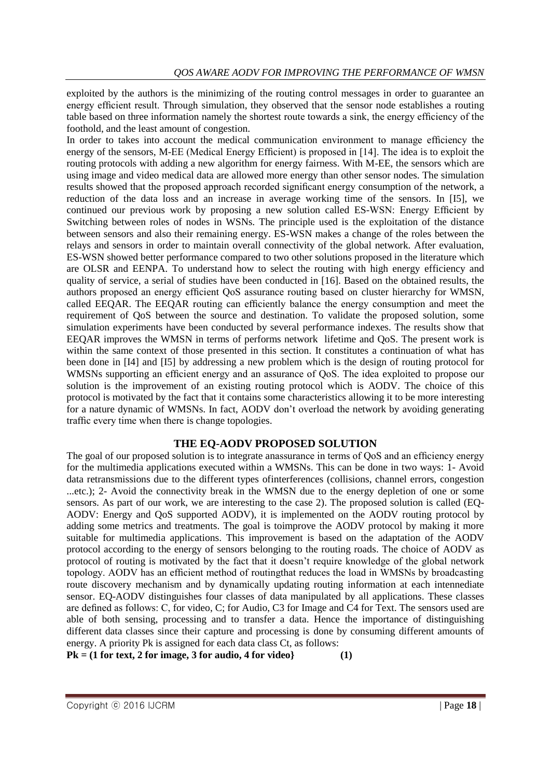exploited by the authors is the minimizing of the routing control messages in order to guarantee an energy efficient result. Through simulation, they observed that the sensor node establishes a routing table based on three information namely the shortest route towards a sink, the energy efficiency of the foothold, and the least amount of congestion.

In order to takes into account the medical communication environment to manage efficiency the energy of the sensors, M-EE (Medical Energy Efficient) is proposed in [14]. The idea is to exploit the routing protocols with adding a new algorithm for energy fairness. With M-EE, the sensors which are using image and video medical data are allowed more energy than other sensor nodes. The simulation results showed that the proposed approach recorded significant energy consumption of the network, a reduction of the data loss and an increase in average working time of the sensors. In [I5], we continued our previous work by proposing a new solution called ES-WSN: Energy Efficient by Switching between roles of nodes in WSNs. The principle used is the exploitation of the distance between sensors and also their remaining energy. ES-WSN makes a change of the roles between the relays and sensors in order to maintain overall connectivity of the global network. After evaluation, ES-WSN showed better performance compared to two other solutions proposed in the literature which are OLSR and EENPA. To understand how to select the routing with high energy efficiency and quality of service, a serial of studies have been conducted in [16]. Based on the obtained results, the authors proposed an energy efficient QoS assurance routing based on cluster hierarchy for WMSN, called EEQAR. The EEQAR routing can efficiently balance the energy consumption and meet the requirement of QoS between the source and destination. To validate the proposed solution, some simulation experiments have been conducted by several performance indexes. The results show that EEQAR improves the WMSN in terms of performs network lifetime and QoS. The present work is within the same context of those presented in this section. It constitutes a continuation of what has been done in [I4] and [I5] by addressing a new problem which is the design of routing protocol for WMSNs supporting an efficient energy and an assurance of QoS. The idea exploited to propose our solution is the improvement of an existing routing protocol which is AODV. The choice of this protocol is motivated by the fact that it contains some characteristics allowing it to be more interesting for a nature dynamic of WMSNs. In fact, AODV don't overload the network by avoiding generating traffic every time when there is change topologies.

# **THE EQ-AODV PROPOSED SOLUTION**

The goal of our proposed solution is to integrate anassurance in terms of QoS and an efficiency energy for the multimedia applications executed within a WMSNs. This can be done in two ways: 1- Avoid data retransmissions due to the different types ofinterferences (collisions, channel errors, congestion ...etc.); 2- Avoid the connectivity break in the WMSN due to the energy depletion of one or some sensors. As part of our work, we are interesting to the case 2). The proposed solution is called (EQ-AODV: Energy and QoS supported AODV), it is implemented on the AODV routing protocol by adding some metrics and treatments. The goal is toimprove the AODV protocol by making it more suitable for multimedia applications. This improvement is based on the adaptation of the AODV protocol according to the energy of sensors belonging to the routing roads. The choice of AODV as protocol of routing is motivated by the fact that it doesn"t require knowledge of the global network topology. AODV has an efficient method of routingthat reduces the load in WMSNs by broadcasting route discovery mechanism and by dynamically updating routing information at each intennediate sensor. EQ-AODV distinguishes four classes of data manipulated by all applications. These classes are defined as follows: C, for video, C; for Audio, C3 for Image and C4 for Text. The sensors used are able of both sensing, processing and to transfer a data. Hence the importance of distinguishing different data classes since their capture and processing is done by consuming different amounts of energy. A priority Pk is assigned for each data class Ct, as follows:

**Pk = (1 for text, 2 for image, 3 for audio, 4 for video} (1)**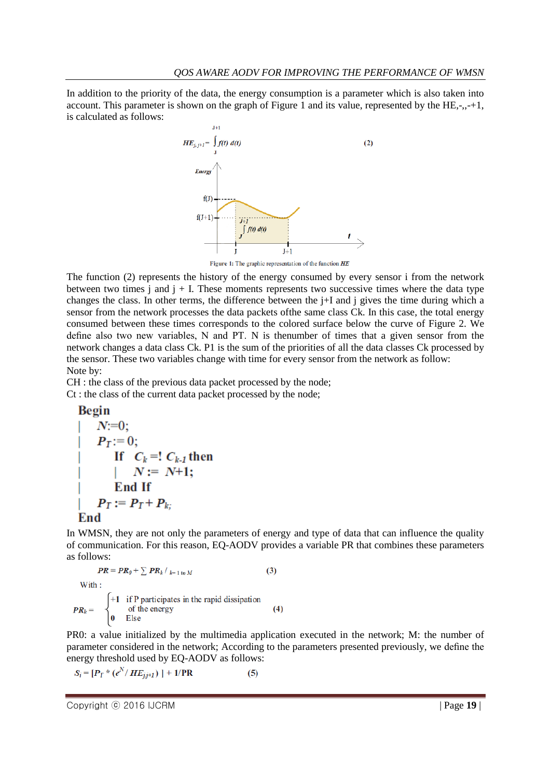In addition to the priority of the data, the energy consumption is a parameter which is also taken into account. This parameter is shown on the graph of Figure 1 and its value, represented by the HE,-,,-+1, is calculated as follows:



Figure 1: The graphic representation of the function HE

The function (2) represents the history of the energy consumed by every sensor i from the network between two times  $\hat{i}$  and  $\hat{j}$  + I. These moments represents two successive times where the data type changes the class. In other terms, the difference between the j+I and j gives the time during which a sensor from the network processes the data packets ofthe same class Ck. In this case, the total energy consumed between these times corresponds to the colored surface below the curve of Figure 2. We define also two new variables, N and PT. N is thenumber of times that a given sensor from the network changes a data class Ck. P1 is the sum of the priorities of all the data classes Ck processed by the sensor. These two variables change with time for every sensor from the network as follow: Note by:

CH : the class of the previous data packet processed by the node; Ct : the class of the current data packet processed by the node;

Begin

\n
$$
N:=0;
$$
\n
$$
P_T:=0;
$$
\nIf  $C_k = ! C_{k-1}$  then

\n
$$
N := N+1;
$$
\nEnd If

\n
$$
P_T := P_T + P_{k};
$$
\nEnd

In WMSN, they are not only the parameters of energy and type of data that can influence the quality of communication. For this reason, EQ-AODV provides a variable PR that combines these parameters as follows:

$$
PR = PR_{\theta} + \sum PR_k / \sum_{k=1 \text{ to } M} \tag{3}
$$

 $\overline{M}$ 

With :  
\n
$$
PR_k = \begin{cases}\n+1 & \text{if P participate in the rapid dissipation} \\
& \text{of the energy}\n\end{cases}
$$
\n(4)

PR0: a value initialized by the multimedia application executed in the network; M: the number of parameter considered in the network; According to the parameters presented previously, we define the energy threshold used by EQ-AODV as follows:

$$
S_i = [P_T * (e^N / HE_{j,i+1})] + 1/PR
$$
 (5)

Copyright ⓒ 2016 IJCRM | Page **19** |

 $\mathbf{0}$  Else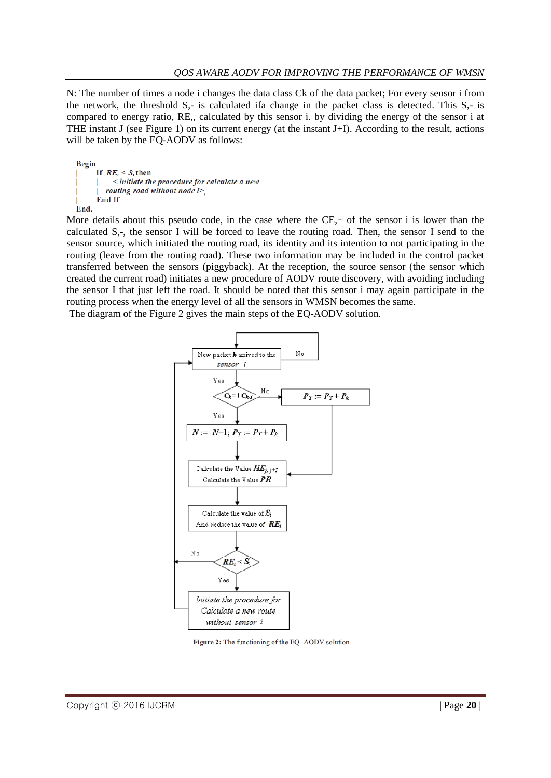N: The number of times a node i changes the data class Ck of the data packet; For every sensor i from the network, the threshold S,- is calculated ifa change in the packet class is detected. This S,- is compared to energy ratio, RE,, calculated by this sensor i. by dividing the energy of the sensor i at THE instant J (see Figure 1) on its current energy (at the instant J+I). According to the result, actions will be taken by the EQ-AODV as follows:

```
Begin
     If RE_i \leq S_i then
           initiate the procedure for calculate a new
        routing road without node iEnd If
End.
```
More details about this pseudo code, in the case where the CE $\sim$  of the sensor i is lower than the calculated S,-, the sensor I will be forced to leave the routing road. Then, the sensor I send to the sensor source, which initiated the routing road, its identity and its intention to not participating in the routing (leave from the routing road). These two information may be included in the control packet transferred between the sensors (piggyback). At the reception, the source sensor (the sensor which created the current road) initiates a new procedure of AODV route discovery, with avoiding including the sensor I that just left the road. It should be noted that this sensor i may again participate in the routing process when the energy level of all the sensors in WMSN becomes the same.

The diagram of the Figure 2 gives the main steps of the EQ-AODV solution.



Figure 2: The functioning of the EQ -AODV solution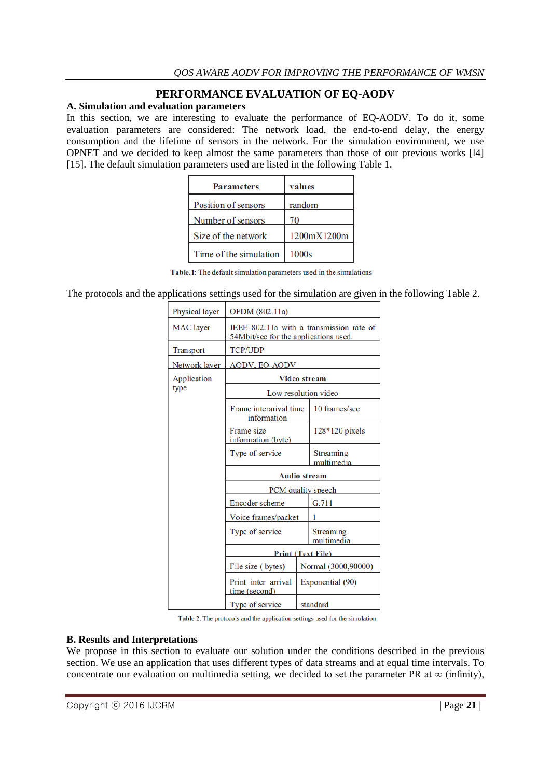## **PERFORMANCE EVALUATION OF EQ-AODV**

## **A. Simulation and evaluation parameters**

In this section, we are interesting to evaluate the performance of EQ-AODV. To do it, some evaluation parameters are considered: The network load, the end-to-end delay, the energy consumption and the lifetime of sensors in the network. For the simulation environment, we use OPNET and we decided to keep almost the same parameters than those of our previous works [l4] [15]. The default simulation parameters used are listed in the following Table 1.

| <b>Parameters</b>      | values      |
|------------------------|-------------|
| Position of sensors    | random      |
| Number of sensors      | 70          |
| Size of the network    | 1200mX1200m |
| Time of the simulation | 1000s       |

Table.1: The default simulation parameters used in the simulations

The protocols and the applications settings used for the simulation are given in the following Table 2.

| Physical layer      | OFDM (802.11a)                                                                    |                     |                         |  |
|---------------------|-----------------------------------------------------------------------------------|---------------------|-------------------------|--|
| MAC layer           | IEEE 802.11a with a transmission rate of<br>54Mbit/sec for the applications used. |                     |                         |  |
| <b>Transport</b>    | <b>TCP/UDP</b>                                                                    |                     |                         |  |
| Network layer       | <b>AODV, EO-AODV</b>                                                              |                     |                         |  |
| Application<br>type | Video stream                                                                      |                     |                         |  |
|                     | Low resolution video                                                              |                     |                         |  |
|                     | Frame interarival time<br>information                                             |                     | 10 frames/sec           |  |
|                     | Frame size<br>information (byte)                                                  |                     | 128*120 pixels          |  |
|                     | Type of service                                                                   |                     | Streaming<br>multimedia |  |
|                     | <b>Audio stream</b>                                                               |                     |                         |  |
|                     | <b>PCM</b> quality speech                                                         |                     |                         |  |
|                     | Encoder scheme                                                                    |                     | G.711                   |  |
|                     | Voice frames/packet                                                               |                     | 1                       |  |
|                     | Type of service                                                                   |                     | Streaming<br>multimedia |  |
|                     | <b>Print (Text File)</b>                                                          |                     |                         |  |
|                     | File size (bytes)                                                                 | Normal (3000,90000) |                         |  |
|                     | Print inter arrival<br>time (second)                                              | Exponential (90)    |                         |  |
|                     | Type of service                                                                   |                     | standard                |  |

Table 2. The protocols and the application settings used for the simulation

#### **B. Results and Interpretations**

We propose in this section to evaluate our solution under the conditions described in the previous section. We use an application that uses different types of data streams and at equal time intervals. To concentrate our evaluation on multimedia setting, we decided to set the parameter PR at  $\infty$  (infinity),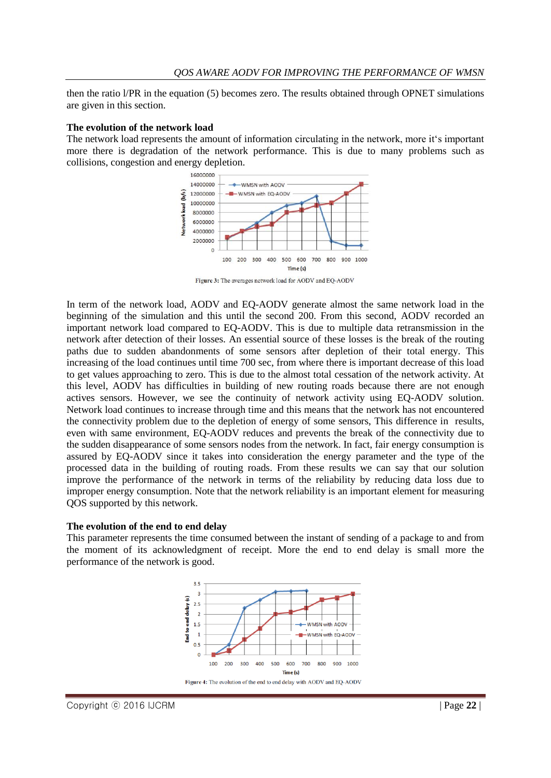then the ratio l/PR in the equation (5) becomes zero. The results obtained through OPNET simulations are given in this section.

#### **The evolution of the network load**

The network load represents the amount of information circulating in the network, more it's important more there is degradation of the network performance. This is due to many problems such as collisions, congestion and energy depletion.



Figure 3: The averages network load for AODV and EQ-AODV

In term of the network load, AODV and EQ-AODV generate almost the same network load in the beginning of the simulation and this until the second 200. From this second, AODV recorded an important network load compared to EQ-AODV. This is due to multiple data retransmission in the network after detection of their losses. An essential source of these losses is the break of the routing paths due to sudden abandonments of some sensors after depletion of their total energy. This increasing of the load continues until time 700 sec, from where there is important decrease of this load to get values approaching to zero. This is due to the almost total cessation of the network activity. At this level, AODV has difficulties in building of new routing roads because there are not enough actives sensors. However, we see the continuity of network activity using EQ-AODV solution. Network load continues to increase through time and this means that the network has not encountered the connectivity problem due to the depletion of energy of some sensors, This difference in results, even with same environment, EQ-AODV reduces and prevents the break of the connectivity due to the sudden disappearance of some sensors nodes from the network. In fact, fair energy consumption is assured by EQ-AODV since it takes into consideration the energy parameter and the type of the processed data in the building of routing roads. From these results we can say that our solution improve the performance of the network in terms of the reliability by reducing data loss due to improper energy consumption. Note that the network reliability is an important element for measuring QOS supported by this network.

#### **The evolution of the end to end delay**

This parameter represents the time consumed between the instant of sending of a package to and from the moment of its acknowledgment of receipt. More the end to end delay is small more the performance of the network is good.

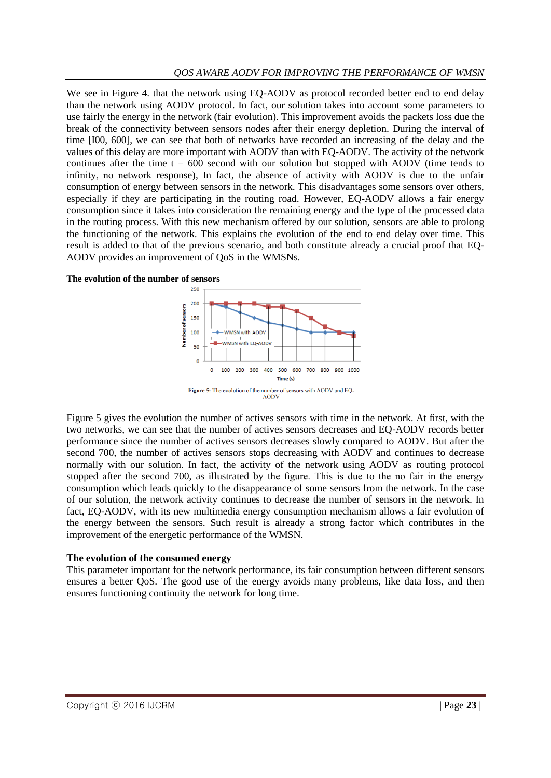We see in Figure 4. that the network using EQ-AODV as protocol recorded better end to end delay than the network using AODV protocol. In fact, our solution takes into account some parameters to use fairly the energy in the network (fair evolution). This improvement avoids the packets loss due the break of the connectivity between sensors nodes after their energy depletion. During the interval of time [I00, 600], we can see that both of networks have recorded an increasing of the delay and the values of this delay are more important with AODV than with EQ-AODV. The activity of the network continues after the time  $t = 600$  second with our solution but stopped with AODV (time tends to infinity, no network response), In fact, the absence of activity with AODV is due to the unfair consumption of energy between sensors in the network. This disadvantages some sensors over others, especially if they are participating in the routing road. However, EQ-AODV allows a fair energy consumption since it takes into consideration the remaining energy and the type of the processed data in the routing process. With this new mechanism offered by our solution, sensors are able to prolong the functioning of the network. This explains the evolution of the end to end delay over time. This result is added to that of the previous scenario, and both constitute already a crucial proof that EQ-AODV provides an improvement of QoS in the WMSNs.





Figure 5 gives the evolution the number of actives sensors with time in the network. At first, with the two networks, we can see that the number of actives sensors decreases and EQ-AODV records better performance since the number of actives sensors decreases slowly compared to AODV. But after the second 700, the number of actives sensors stops decreasing with AODV and continues to decrease normally with our solution. In fact, the activity of the network using AODV as routing protocol stopped after the second 700, as illustrated by the figure. This is due to the no fair in the energy consumption which leads quickly to the disappearance of some sensors from the network. In the case of our solution, the network activity continues to decrease the number of sensors in the network. In fact, EQ-AODV, with its new multimedia energy consumption mechanism allows a fair evolution of the energy between the sensors. Such result is already a strong factor which contributes in the improvement of the energetic performance of the WMSN.

#### **The evolution of the consumed energy**

This parameter important for the network performance, its fair consumption between different sensors ensures a better QoS. The good use of the energy avoids many problems, like data loss, and then ensures functioning continuity the network for long time.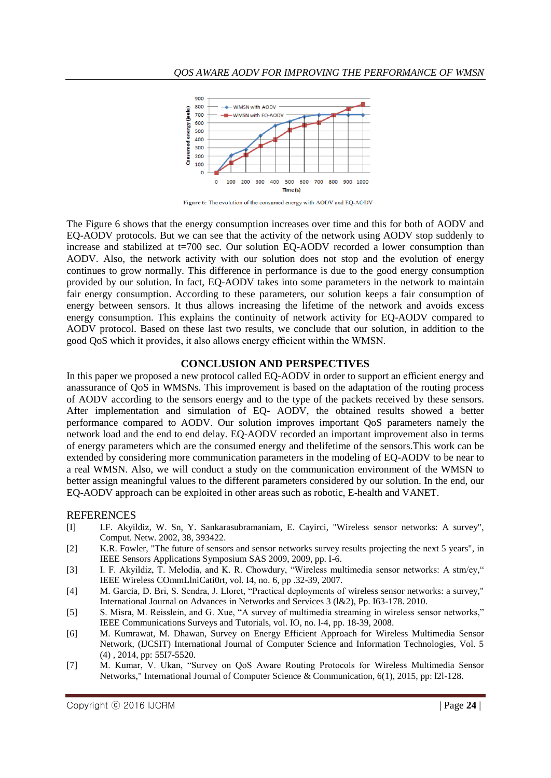

Figure 6: The evolution of the consumed energy with AODV and EQ-AODV

The Figure 6 shows that the energy consumption increases over time and this for both of AODV and EQ-AODV protocols. But we can see that the activity of the network using AODV stop suddenly to increase and stabilized at t=700 sec. Our solution EQ-AODV recorded a lower consumption than AODV. Also, the network activity with our solution does not stop and the evolution of energy continues to grow normally. This difference in performance is due to the good energy consumption provided by our solution. In fact, EQ-AODV takes into some parameters in the network to maintain fair energy consumption. According to these parameters, our solution keeps a fair consumption of energy between sensors. It thus allows increasing the lifetime of the network and avoids excess energy consumption. This explains the continuity of network activity for EQ-AODV compared to AODV protocol. Based on these last two results, we conclude that our solution, in addition to the good QoS which it provides, it also allows energy efficient within the WMSN.

#### **CONCLUSION AND PERSPECTIVES**

In this paper we proposed a new protocol called EQ-AODV in order to support an efficient energy and anassurance of QoS in WMSNs. This improvement is based on the adaptation of the routing process of AODV according to the sensors energy and to the type of the packets received by these sensors. After implementation and simulation of EQ- AODV, the obtained results showed a better performance compared to AODV. Our solution improves important QoS parameters namely the network load and the end to end delay. EQ-AODV recorded an important improvement also in terms of energy parameters which are the consumed energy and thelifetime of the sensors.This work can be extended by considering more communication parameters in the modeling of EQ-AODV to be near to a real WMSN. Also, we will conduct a study on the communication environment of the WMSN to better assign meaningful values to the different parameters considered by our solution. In the end, our EQ-AODV approach can be exploited in other areas such as robotic, E-health and VANET.

#### REFERENCES

- [I] I.F. Akyildiz, W. Sn, Y. Sankarasubramaniam, E. Cayirci, "Wireless sensor networks: A survey", Comput. Netw. 2002, 38, 393422.
- [2] K.R. Fowler, "The future of sensors and sensor networks survey results projecting the next 5 years", in IEEE Sensors Applications Symposium SAS 2009, 2009, pp. I-6.
- [3] I. F. Akyildiz, T. Melodia, and K. R. Chowdury, "Wireless multimedia sensor networks: A stm/ey," IEEE Wireless COmmLlniCati0rt, vol. I4, no. 6, pp .32-39, 2007.
- [4] M. Garcia, D. Bri, S. Sendra, J. Lloret, "Practical deployments of wireless sensor networks: a survey," International Journal on Advances in Networks and Services 3 (l&2), Pp. I63-178. 2010.
- [5] S. Misra, M. Reisslein, and G. Xue, "A survey of multimedia streaming in wireless sensor networks," IEEE Communications Surveys and Tutorials, vol. IO, no. l-4, pp. 18-39, 2008.
- [6] M. Kumrawat, M. Dhawan, Survey on Energy Efficient Approach for Wireless Multimedia Sensor Network, (IJCSIT) International Journal of Computer Science and Information Technologies, Vol. 5 (4) , 2014, pp: 55I7-5520.
- [7] M. Kumar, V. Ukan, "Survey on QoS Aware Routing Protocols for Wireless Multimedia Sensor Networks," International Journal of Computer Science & Communication, 6(1), 2015, pp: l2l-128.